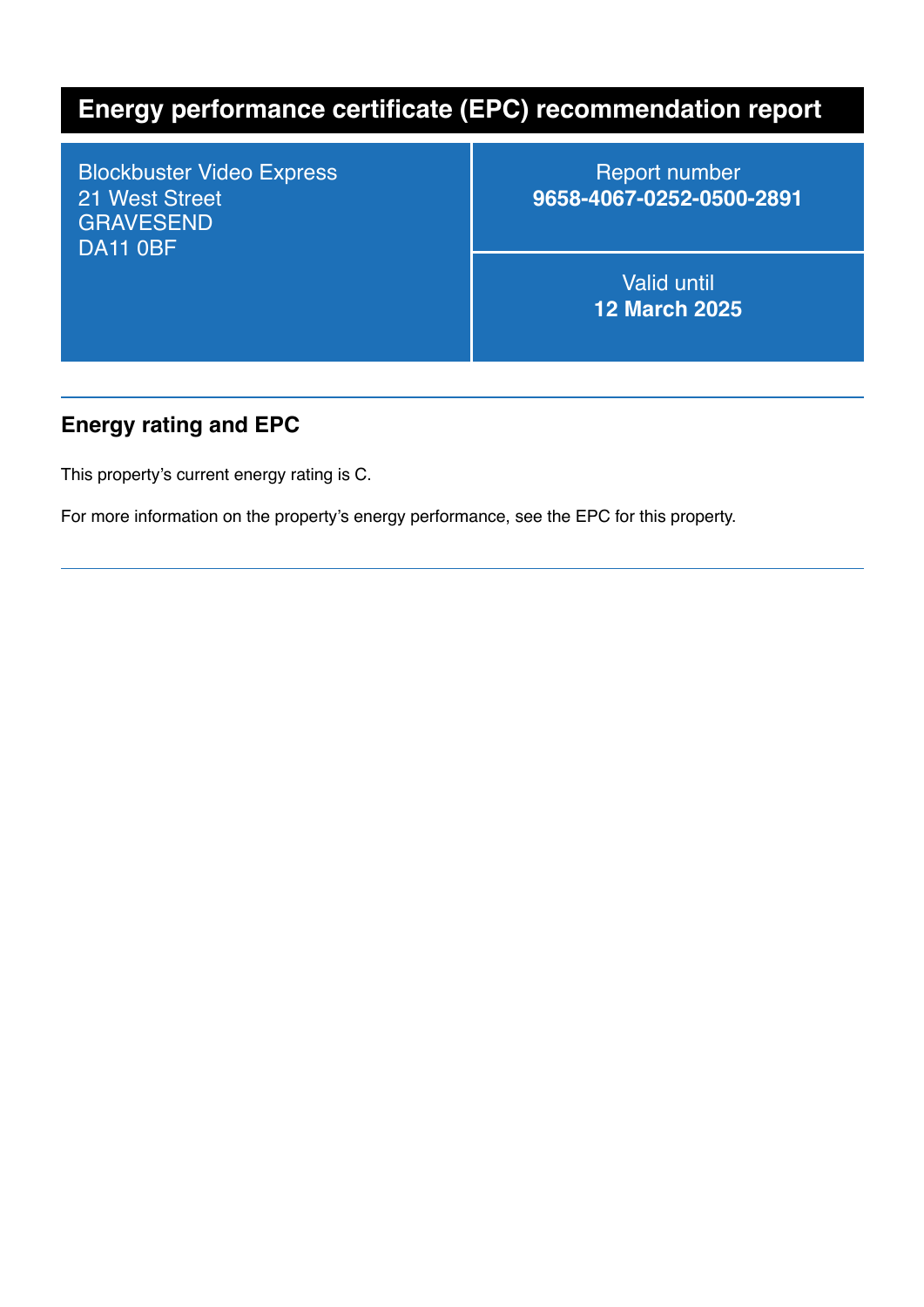# **Energy performance certificate (EPC) recommendation report**

Blockbuster Video Express 21 West Street GRAVESEND DA11 0BF

Report number **9658-4067-0252-0500-2891**

> Valid until **12 March 2025**

#### **Energy rating and EPC**

This property's current energy rating is C.

For more information on the property's energy performance, see the EPC for this property.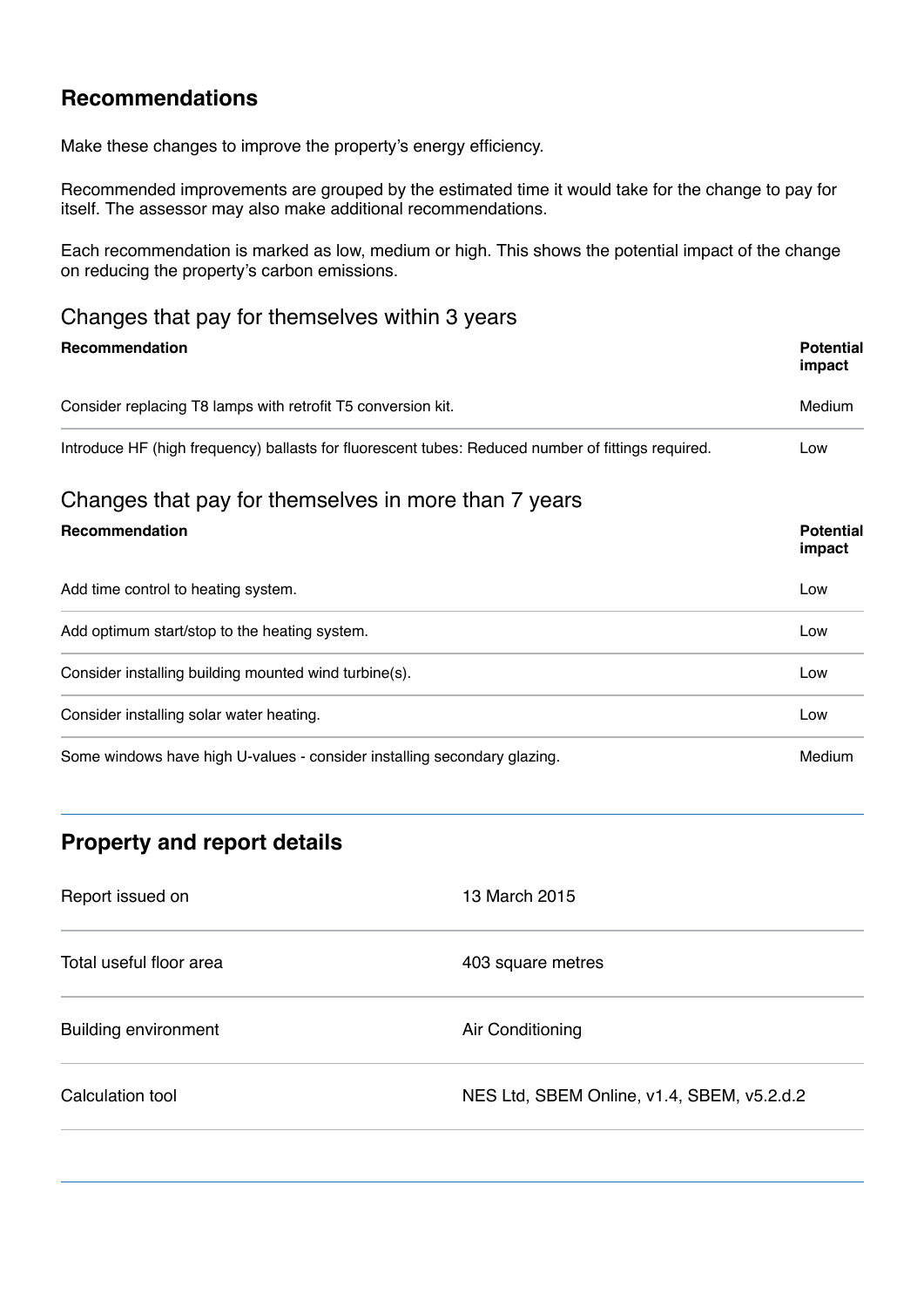### **Recommendations**

Make these changes to improve the property's energy efficiency.

Recommended improvements are grouped by the estimated time it would take for the change to pay for itself. The assessor may also make additional recommendations.

Each recommendation is marked as low, medium or high. This shows the potential impact of the change on reducing the property's carbon emissions.

#### Changes that pay for themselves within 3 years

| <b>Recommendation</b>                                                                              | <b>Potential</b><br>impact |
|----------------------------------------------------------------------------------------------------|----------------------------|
| Consider replacing T8 lamps with retrofit T5 conversion kit.                                       | Medium                     |
| Introduce HF (high frequency) ballasts for fluorescent tubes: Reduced number of fittings required. | Low                        |
| Changes that pay for themselves in more than 7 years                                               |                            |
| Recommendation                                                                                     | <b>Potential</b><br>impact |
| Add time control to heating system.                                                                | Low                        |
| Add optimum start/stop to the heating system.                                                      | Low                        |
| Consider installing building mounted wind turbine(s).                                              | Low                        |
| Consider installing solar water heating.                                                           | Low                        |
| Some windows have high U-values - consider installing secondary glazing.                           | Medium                     |

## **Property and report details**

| Report issued on            | 13 March 2015                              |
|-----------------------------|--------------------------------------------|
| Total useful floor area     | 403 square metres                          |
| <b>Building environment</b> | Air Conditioning                           |
| Calculation tool            | NES Ltd, SBEM Online, v1.4, SBEM, v5.2.d.2 |